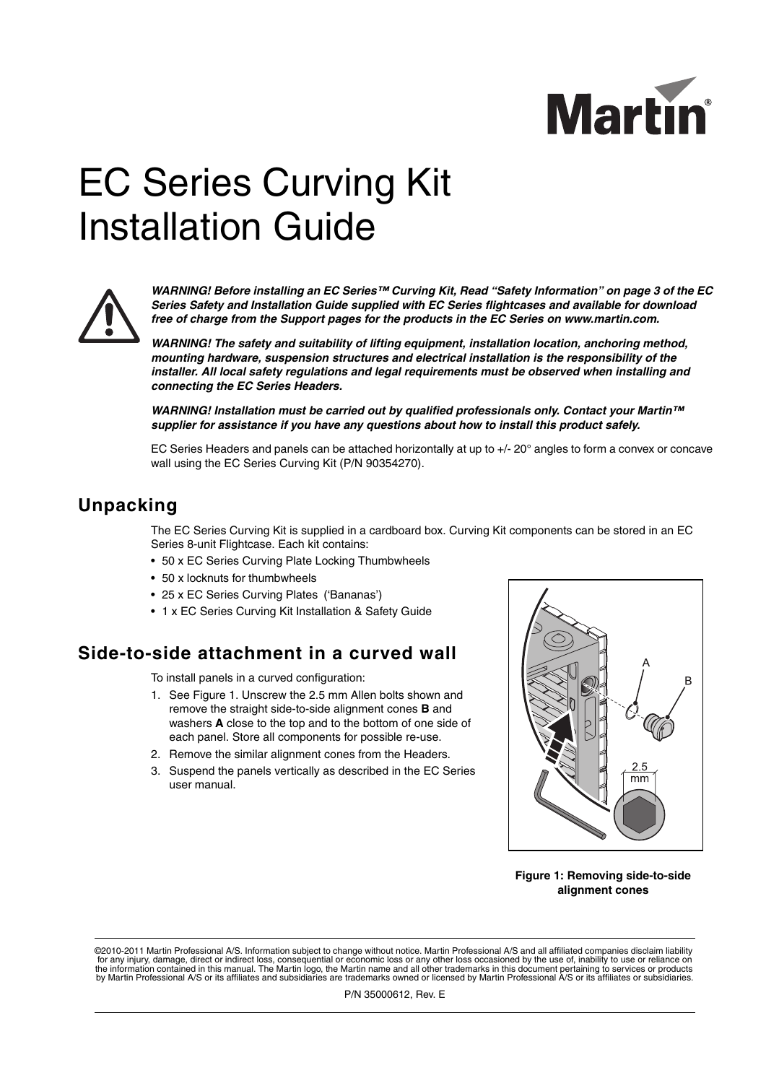

## EC Series Curving Kit Installation Guide



*WARNING! Before installing an EC Series™ Curving Kit, Read "Safety Information" on page 3 of the EC Series Safety and Installation Guide supplied with EC Series flightcases and available for download free of charge from the Support pages for the products in the EC Series on www.martin.com.*

*WARNING! The safety and suitability of lifting equipment, installation location, anchoring method, mounting hardware, suspension structures and electrical installation is the responsibility of the installer. All local safety regulations and legal requirements must be observed when installing and connecting the EC Series Headers.*

*WARNING! Installation must be carried out by qualified professionals only. Contact your Martin™ supplier for assistance if you have any questions about how to install this product safely.*

EC Series Headers and panels can be attached horizontally at up to +/- 20° angles to form a convex or concave wall using the EC Series Curving Kit (P/N 90354270).

## **Unpacking**

The EC Series Curving Kit is supplied in a cardboard box. Curving Kit components can be stored in an EC Series 8-unit Flightcase. Each kit contains:

- 50 x EC Series Curving Plate Locking Thumbwheels
- 50 x locknuts for thumbwheels
- 25 x EC Series Curving Plates ('Bananas')
- 1 x EC Series Curving Kit Installation & Safety Guide

## **Side-to-side attachment in a curved wall**

To install panels in a curved configuration:

- 1. See [Figure 1](#page-0-0). Unscrew the 2.5 mm Allen bolts shown and remove the straight side-to-side alignment cones **B** and washers **A** close to the top and to the bottom of one side of each panel. Store all components for possible re-use.
- 2. Remove the similar alignment cones from the Headers.
- 3. Suspend the panels vertically as described in the EC Series user manual.



<span id="page-0-0"></span>**Figure 1: Removing side-to-side alignment cones**

©2010-2011 Martin Professional A/S. Information subject to change without notice. Martin Professional A/S and all affiliated companies disclaim liability for any injury, damage, direct or indirect loss, consequential or economic loss or any other loss occasioned by the use of, inability to use or reliance on<br>the information contained in this manual. The Martin logo, the Mar